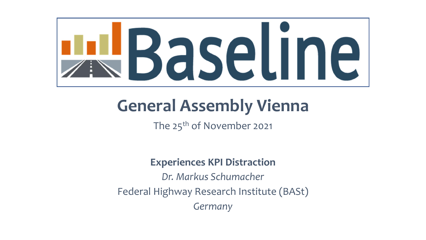

#### **General Assembly Vienna**

The 25<sup>th</sup> of November 2021

#### **Experiences KPI Distraction**

*Dr. Markus Schumacher* Federal Highway Research Institute (BASt) *Germany*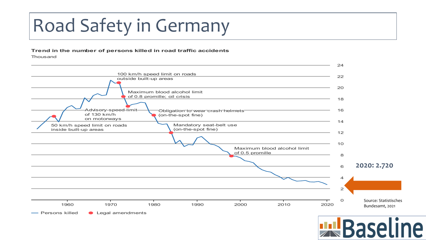# Road Safety in Germany

#### Trend in the number of persons killed in road traffic accidents

Thousand

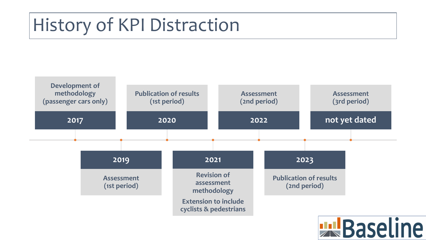## History of KPI Distraction

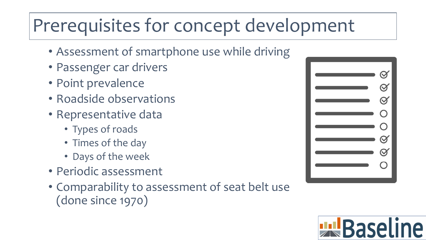# Prerequisites for concept development

- Assessment of smartphone use while driving
- Passenger car drivers
- Point prevalence
- Roadside observations
- Representative data
	- Types of roads
	- Times of the day
	- Days of the week
- Periodic assessment
- Comparability to assessment of seat belt use (done since 1970)



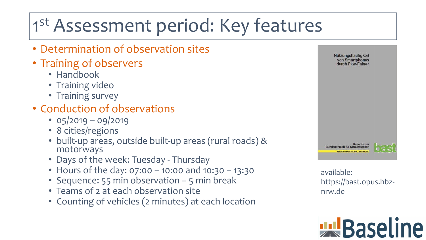# 1st Assessment period: Key features

- Determination of observation sites
- Training of observers
	- Handbook
	- Training video
	- Training survey
- Conduction of observations
	- $\cdot$  05/2019 09/2019
	- 8 cities/regions
	- built-up areas, outside built-up areas (rural roads) & motorways
	- Days of the week: Tuesday Thursday
	- Hours of the day: 07:00 10:00 and 10:30 13:30
	- Sequence: 55 min observation 5 min break
	- Teams of 2 at each observation site
	- Counting of vehicles (2 minutes) at each location



available: https://bast.opus.hbznrw.de

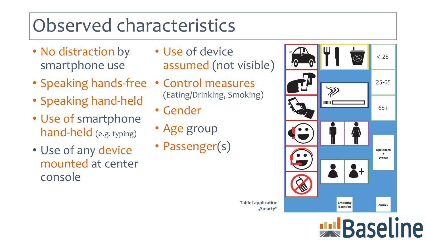# Observed characteristics

- No distraction by smartphone use
- Speaking hands-free
- Speaking hand-held
- Use of smartphone hand-held (e.g. typing)
- Use of any device mounted at center console
- Use of device assumed (not visible)
- Control measures (Eating/Drinking, Smoking)
- Gender
- Age group
- Passenger(s)



**LIBaseli** 

ne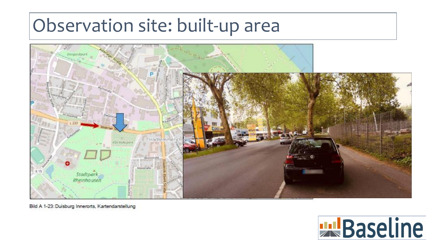### Observation site: built-up area



Bild A 1-23: Duisburg Innerorts, Kartendarstellung

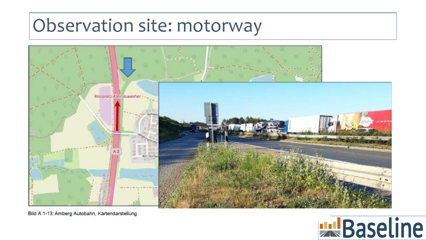#### Observation site: motorway



Bild A 1-13: Amberg Autobahn, Kartendarstellung

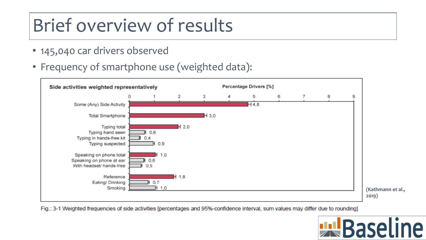# Brief overview of results

- 145,040 car drivers observed
- Frequency of smartphone use (weighted data):



Fig.: 3-1 Weighted frequencies of side activities [percentages and 95%-confidence interval, sum values may differ due to rounding]

**El Baseline**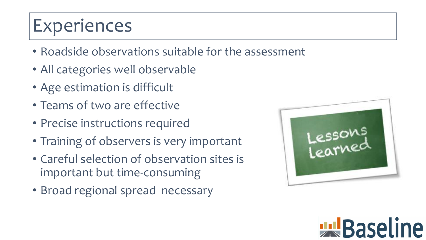# **Experiences**

- Roadside observations suitable for the assessment
- All categories well observable
- Age estimation is difficult
- Teams of two are effective
- Precise instructions required
- Training of observers is very important
- Careful selection of observation sites is important but time-consuming
- Broad regional spread necessary



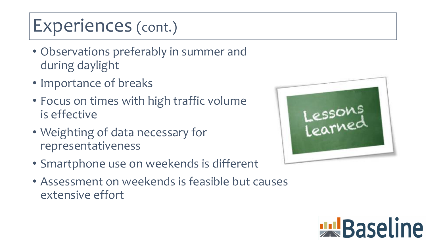## Experiences (cont.)

- Observations preferably in summer and during daylight
- Importance of breaks
- Focus on times with high traffic volume is effective
- Weighting of data necessary for representativeness
- Smartphone use on weekends is different
- Assessment on weekends is feasible but causes extensive effort



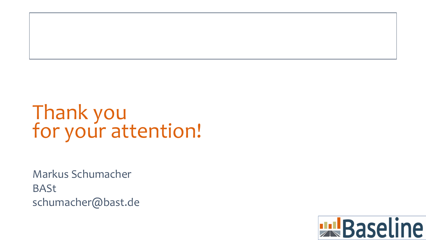# Thank you for your attention!

Markus Schumacher BASt schumacher@bast.de

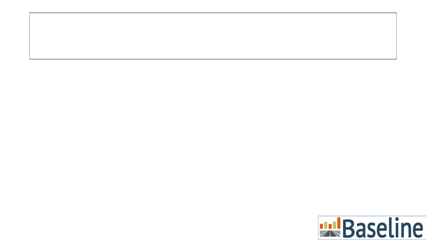